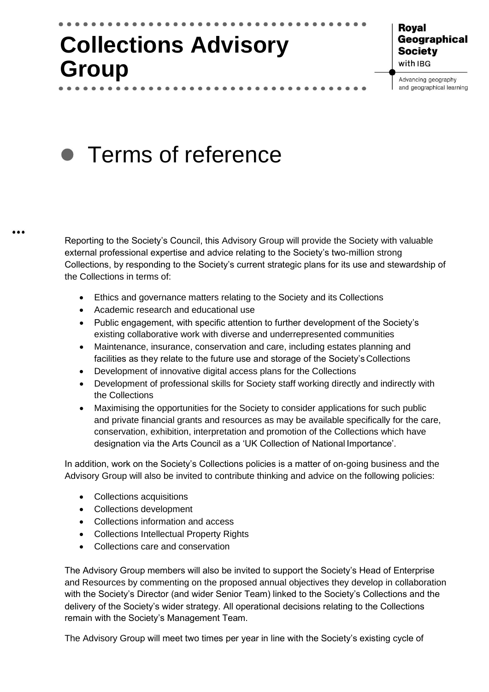# **Collections Advisory Group**

## Roval Geographical **Society** with IBG

Advancing geography and geographical learning

# Terms of reference $\bullet$

Reporting to the Society's Council, this Advisory Group will provide the Society with valuable external professional expertise and advice relating to the Society's two-million strong Collections, by responding to the Society's current strategic plans for its use and stewardship of the Collections in terms of:

- Ethics and governance matters relating to the Society and its Collections
- Academic research and educational use

 $\bullet\bullet\bullet$ 

- Public engagement, with specific attention to further development of the Society's existing collaborative work with diverse and underrepresented communities
- Maintenance, insurance, conservation and care, including estates planning and facilities as they relate to the future use and storage of the Society's Collections
- Development of innovative digital access plans for the Collections
- Development of professional skills for Society staff working directly and indirectly with the Collections
- Maximising the opportunities for the Society to consider applications for such public and private financial grants and resources as may be available specifically for the care, conservation, exhibition, interpretation and promotion of the Collections which have designation via the Arts Council as a 'UK Collection of National Importance'.

In addition, work on the Society's Collections policies is a matter of on-going business and the Advisory Group will also be invited to contribute thinking and advice on the following policies:

- Collections acquisitions
- Collections development
- Collections information and access
- Collections Intellectual Property Rights
- Collections care and conservation

The Advisory Group members will also be invited to support the Society's Head of Enterprise and Resources by commenting on the proposed annual objectives they develop in collaboration with the Society's Director (and wider Senior Team) linked to the Society's Collections and the delivery of the Society's wider strategy. All operational decisions relating to the Collections remain with the Society's Management Team.

The Advisory Group will meet two times per year in line with the Society's existing cycle of